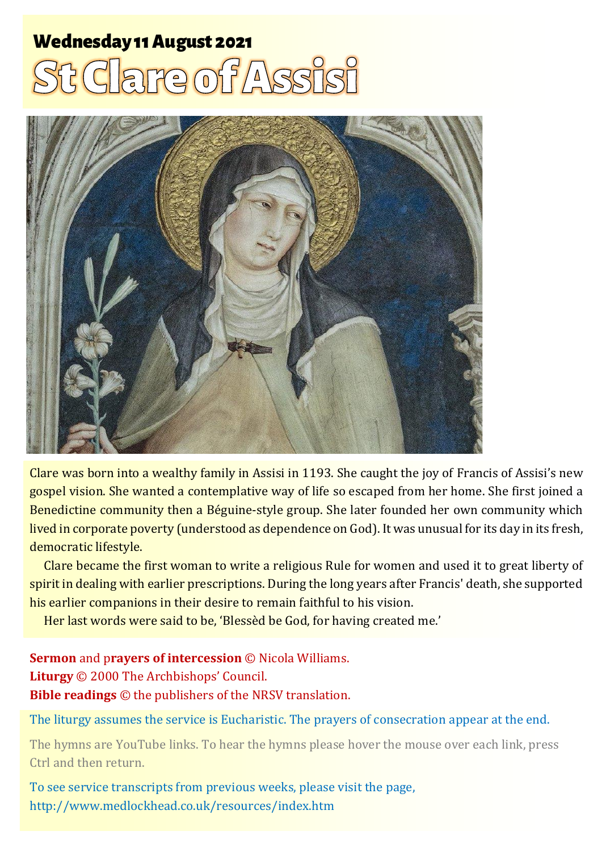# **Wednesday 11 August 2021** RE OF PASS



Clare was born into a wealthy family in Assisi in 1193. She caught the joy of Francis of Assisi's new gospel vision. She wanted a contemplative way of life so escaped from her home. She first joined a Benedictine community then a Béguine-style group. She later founded her own community which lived in corporate poverty (understood as dependence on God). It was unusual for its day in its fresh, democratic lifestyle.

Clare became the first woman to write a religious Rule for women and used it to great liberty of spirit in dealing with earlier prescriptions. During the long years after Francis' death, she supported his earlier companions in their desire to remain faithful to his vision.

Her last words were said to be, 'Blessèd be God, for having created me.'

**Sermon** and p**rayers of intercession** © Nicola Williams. **Liturgy** © 2000 The Archbishops' Council. **Bible readings** © the publishers of the NRSV translation.

The liturgy assumes the service is Eucharistic. The prayers of consecration appear at the end.

The hymns are YouTube links. To hear the hymns please hover the mouse over each link, press Ctrl and then return.

To see service transcripts from previous weeks, please visit the page, <http://www.medlockhead.co.uk/resources/index.htm>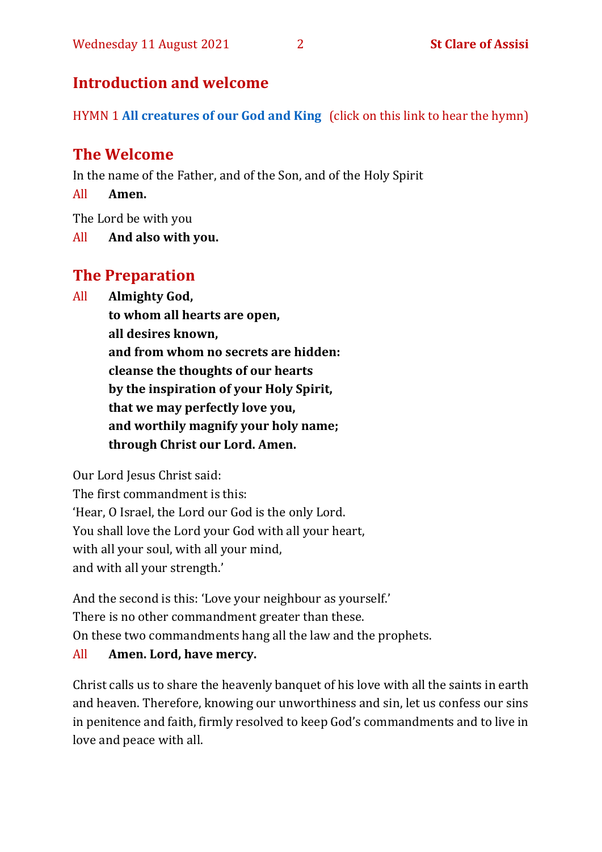# **Introduction and welcome**

HYMN 1 **[All creatures of our God and King](https://www.youtube.com/watch?v=0d3gO6qDLNA)** (click on this link to hear the hymn)

# **The Welcome**

In the name of the Father, and of the Son, and of the Holy Spirit

All **Amen.**

The Lord be with you

All **And also with you.**

# **The Preparation**

All **Almighty God,**

**to whom all hearts are open, all desires known, and from whom no secrets are hidden: cleanse the thoughts of our hearts by the inspiration of your Holy Spirit, that we may perfectly love you, and worthily magnify your holy name; through Christ our Lord. Amen.**

Our Lord Jesus Christ said:

The first commandment is this: 'Hear, O Israel, the Lord our God is the only Lord. You shall love the Lord your God with all your heart, with all your soul, with all your mind, and with all your strength.'

And the second is this: 'Love your neighbour as yourself.' There is no other commandment greater than these. On these two commandments hang all the law and the prophets.

# All **Amen. Lord, have mercy.**

Christ calls us to share the heavenly banquet of his love with all the saints in earth and heaven. Therefore, knowing our unworthiness and sin, let us confess our sins in penitence and faith, firmly resolved to keep God's commandments and to live in love and peace with all.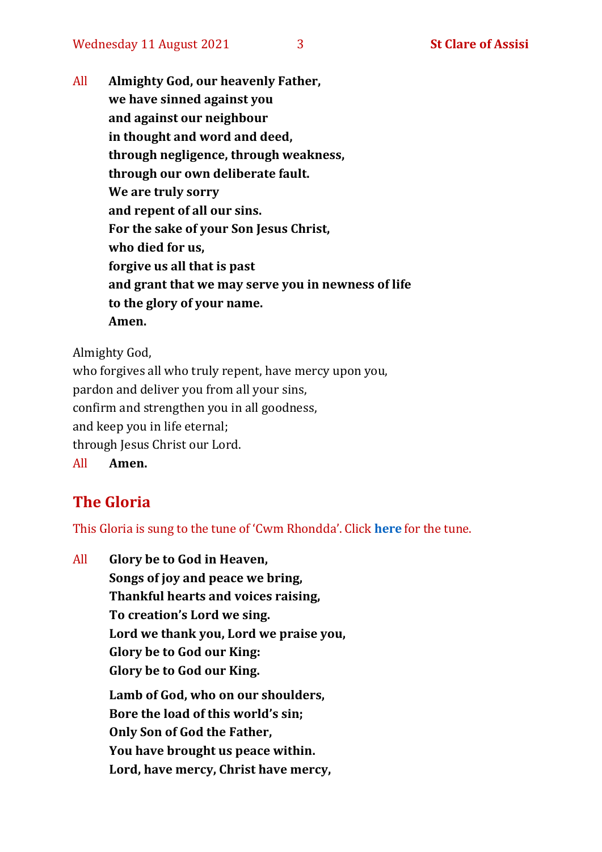All **Almighty God, our heavenly Father, we have sinned against you and against our neighbour in thought and word and deed, through negligence, through weakness, through our own deliberate fault. We are truly sorry and repent of all our sins. For the sake of your Son Jesus Christ, who died for us, forgive us all that is past and grant that we may serve you in newness of life to the glory of your name. Amen.**

Almighty God,

who forgives all who truly repent, have mercy upon you, pardon and deliver you from all your sins, confirm and strengthen you in all goodness, and keep you in life eternal; through Jesus Christ our Lord. All **Amen.**

# **The Gloria**

This Gloria is sung to the tune of 'Cwm Rhondda'. Click **[here](https://www.youtube.com/watch?v=l71MLQ22dIk)** for the tune.

All **Glory be to God in Heaven, Songs of joy and peace we bring, Thankful hearts and voices raising, To creation's Lord we sing. Lord we thank you, Lord we praise you, Glory be to God our King: Glory be to God our King. Lamb of God, who on our shoulders, Bore the load of this world's sin; Only Son of God the Father, You have brought us peace within. Lord, have mercy, Christ have mercy,**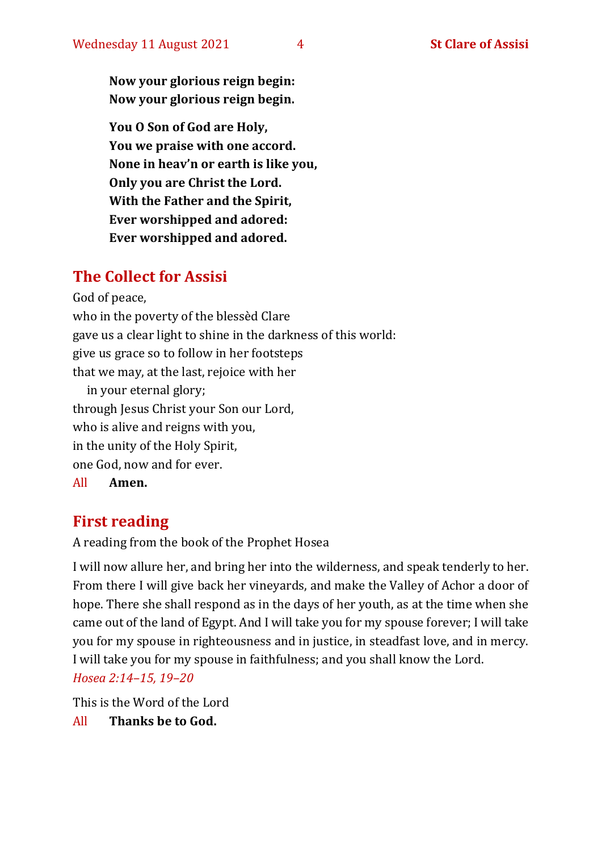**Now your glorious reign begin: Now your glorious reign begin.**

**You O Son of God are Holy, You we praise with one accord. None in heav'n or earth is like you, Only you are Christ the Lord. With the Father and the Spirit, Ever worshipped and adored: Ever worshipped and adored.**

### **The Collect for Assisi**

God of peace,

who in the poverty of the blessèd Clare gave us a clear light to shine in the darkness of this world: give us grace so to follow in her footsteps that we may, at the last, rejoice with her in your eternal glory; through Jesus Christ your Son our Lord, who is alive and reigns with you, in the unity of the Holy Spirit, one God, now and for ever.

All **Amen.**

# **First reading**

A reading from the book of the Prophet Hosea

I will now allure her, and bring her into the wilderness, and speak tenderly to her. From there I will give back her vineyards, and make the Valley of Achor a door of hope. There she shall respond as in the days of her youth, as at the time when she came out of the land of Egypt. And I will take you for my spouse forever; I will take you for my spouse in righteousness and in justice, in steadfast love, and in mercy. I will take you for my spouse in faithfulness; and you shall know the Lord. *Hosea 2:14–15, 19–20*

This is the Word of the Lord

All **Thanks be to God.**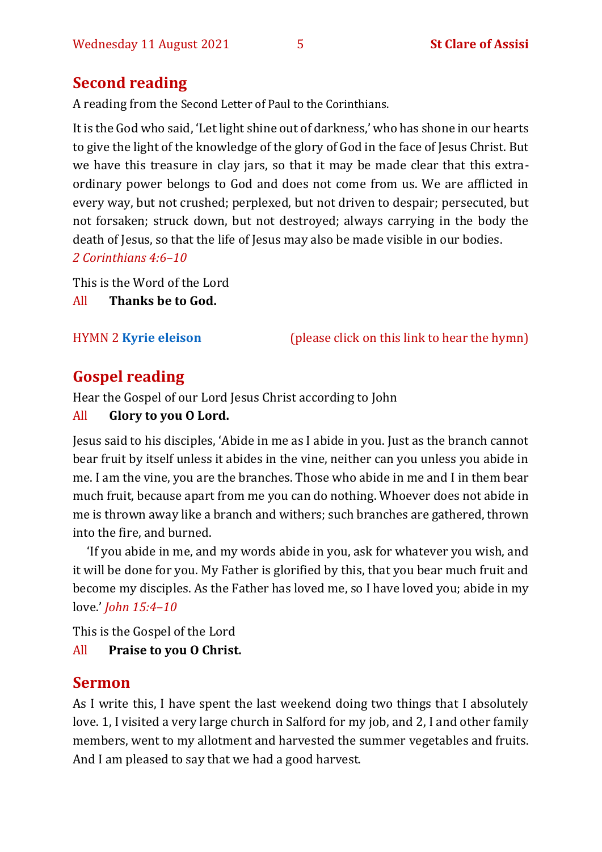# **Second reading**

A reading from the Second Letter of Paul to the Corinthians.

It is the God who said, 'Let light shine out of darkness,' who has shone in our hearts to give the light of the knowledge of the glory of God in the face of Jesus Christ. But we have this treasure in clay jars, so that it may be made clear that this extraordinary power belongs to God and does not come from us. We are afflicted in every way, but not crushed; perplexed, but not driven to despair; persecuted, but not forsaken; struck down, but not destroyed; always carrying in the body the death of Jesus, so that the life of Jesus may also be made visible in our bodies.

*2 Corinthians 4:6–10*

This is the Word of the Lord All **Thanks be to God.**

HYMN 2 **[Kyrie eleison](https://www.youtube.com/watch?v=YDRkTKvM1aw)** (please click on this link to hear the hymn)

# **Gospel reading**

Hear the Gospel of our Lord Jesus Christ according to John

#### All **Glory to you O Lord.**

Jesus said to his disciples, 'Abide in me as I abide in you. Just as the branch cannot bear fruit by itself unless it abides in the vine, neither can you unless you abide in me. I am the vine, you are the branches. Those who abide in me and I in them bear much fruit, because apart from me you can do nothing. Whoever does not abide in me is thrown away like a branch and withers; such branches are gathered, thrown into the fire, and burned.

'If you abide in me, and my words abide in you, ask for whatever you wish, and it will be done for you. My Father is glorified by this, that you bear much fruit and become my disciples. As the Father has loved me, so I have loved you; abide in my love.' *John 15:4–10*

This is the Gospel of the Lord

All **Praise to you O Christ.** 

# **Sermon**

As I write this, I have spent the last weekend doing two things that I absolutely love. 1, I visited a very large church in Salford for my job, and 2, I and other family members, went to my allotment and harvested the summer vegetables and fruits. And I am pleased to say that we had a good harvest.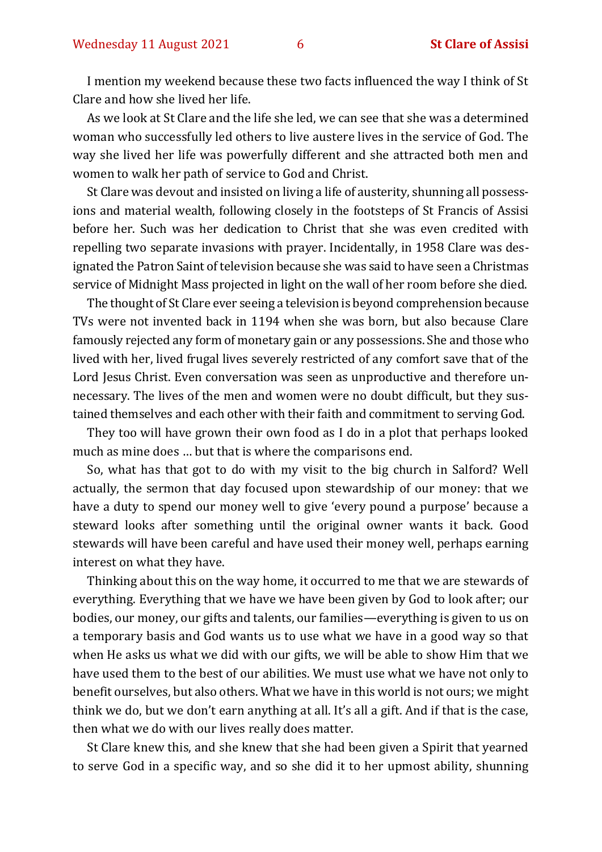I mention my weekend because these two facts influenced the way I think of St Clare and how she lived her life.

As we look at St Clare and the life she led, we can see that she was a determined woman who successfully led others to live austere lives in the service of God. The way she lived her life was powerfully different and she attracted both men and women to walk her path of service to God and Christ.

St Clare was devout and insisted on living a life of austerity, shunning all possessions and material wealth, following closely in the footsteps of St Francis of Assisi before her. Such was her dedication to Christ that she was even credited with repelling two separate invasions with prayer. Incidentally, in 1958 Clare was designated the Patron Saint of television because she was said to have seen a Christmas service of Midnight Mass projected in light on the wall of her room before she died.

The thought of St Clare ever seeing a television is beyond comprehension because TVs were not invented back in 1194 when she was born, but also because Clare famously rejected any form of monetary gain or any possessions. She and those who lived with her, lived frugal lives severely restricted of any comfort save that of the Lord Jesus Christ. Even conversation was seen as unproductive and therefore unnecessary. The lives of the men and women were no doubt difficult, but they sustained themselves and each other with their faith and commitment to serving God.

They too will have grown their own food as I do in a plot that perhaps looked much as mine does … but that is where the comparisons end.

So, what has that got to do with my visit to the big church in Salford? Well actually, the sermon that day focused upon stewardship of our money: that we have a duty to spend our money well to give 'every pound a purpose' because a steward looks after something until the original owner wants it back. Good stewards will have been careful and have used their money well, perhaps earning interest on what they have.

Thinking about this on the way home, it occurred to me that we are stewards of everything. Everything that we have we have been given by God to look after; our bodies, our money, our gifts and talents, our families—everything is given to us on a temporary basis and God wants us to use what we have in a good way so that when He asks us what we did with our gifts, we will be able to show Him that we have used them to the best of our abilities. We must use what we have not only to benefit ourselves, but also others. What we have in this world is not ours; we might think we do, but we don't earn anything at all. It's all a gift. And if that is the case, then what we do with our lives really does matter.

St Clare knew this, and she knew that she had been given a Spirit that yearned to serve God in a specific way, and so she did it to her upmost ability, shunning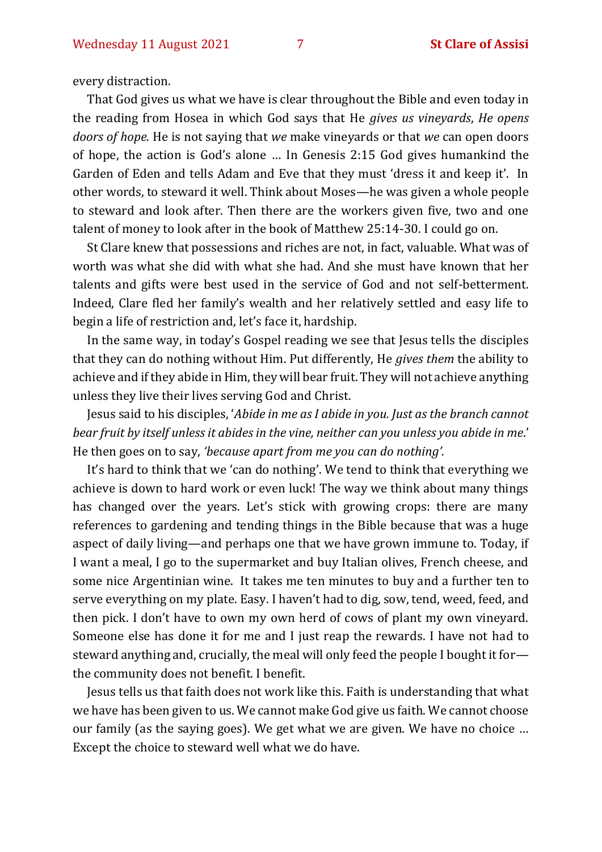every distraction.

That God gives us what we have is clear throughout the Bible and even today in the reading from Hosea in which God says that He *gives us vineyards*, *He opens doors of hope.* He is not saying that *we* make vineyards or that *we* can open doors of hope, the action is God's alone … In Genesis 2:15 God gives humankind the Garden of Eden and tells Adam and Eve that they must 'dress it and keep it'. In other words, to steward it well. Think about Moses—he was given a whole people to steward and look after. Then there are the workers given five, two and one talent of money to look after in the book of Matthew 25:14-30. I could go on.

St Clare knew that possessions and riches are not, in fact, valuable. What was of worth was what she did with what she had. And she must have known that her talents and gifts were best used in the service of God and not self-betterment. Indeed, Clare fled her family's wealth and her relatively settled and easy life to begin a life of restriction and, let's face it, hardship.

In the same way, in today's Gospel reading we see that Jesus tells the disciples that they can do nothing without Him. Put differently, He *gives them* the ability to achieve and if they abide in Him, they will bear fruit. They will not achieve anything unless they live their lives serving God and Christ.

Jesus said to his disciples, '*Abide in me as I abide in you. Just as the branch cannot bear fruit by itself unless it abides in the vine, neither can you unless you abide in me*.' He then goes on to say, *'because apart from me you can do nothing'.*

It's hard to think that we 'can do nothing'. We tend to think that everything we achieve is down to hard work or even luck! The way we think about many things has changed over the years. Let's stick with growing crops: there are many references to gardening and tending things in the Bible because that was a huge aspect of daily living—and perhaps one that we have grown immune to. Today, if I want a meal, I go to the supermarket and buy Italian olives, French cheese, and some nice Argentinian wine. It takes me ten minutes to buy and a further ten to serve everything on my plate. Easy. I haven't had to dig, sow, tend, weed, feed, and then pick. I don't have to own my own herd of cows of plant my own vineyard. Someone else has done it for me and I just reap the rewards. I have not had to steward anything and, crucially, the meal will only feed the people I bought it for the community does not benefit. I benefit.

Jesus tells us that faith does not work like this. Faith is understanding that what we have has been given to us. We cannot make God give us faith. We cannot choose our family (as the saying goes). We get what we are given. We have no choice … Except the choice to steward well what we do have.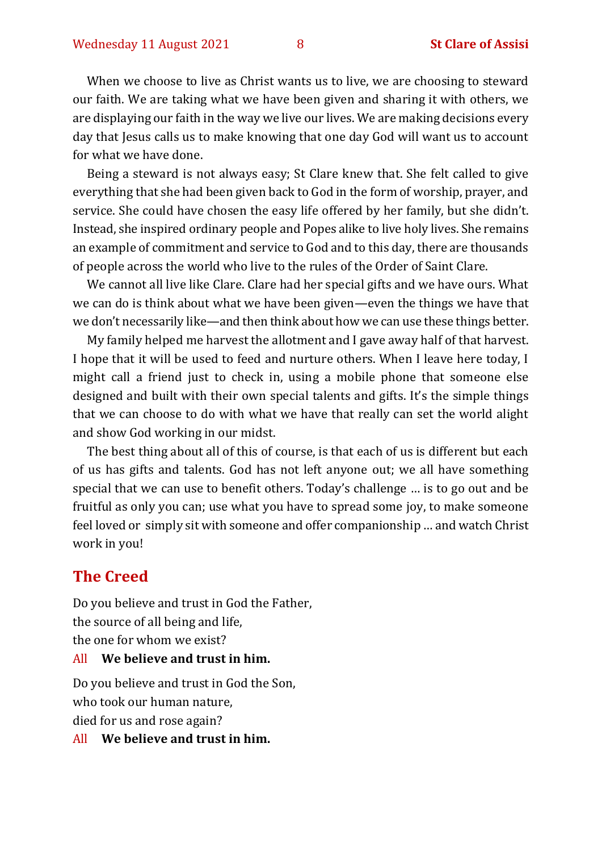When we choose to live as Christ wants us to live, we are choosing to steward our faith. We are taking what we have been given and sharing it with others, we are displaying our faith in the way we live our lives. We are making decisions every day that Jesus calls us to make knowing that one day God will want us to account for what we have done.

Being a steward is not always easy; St Clare knew that. She felt called to give everything that she had been given back to God in the form of worship, prayer, and service. She could have chosen the easy life offered by her family, but she didn't. Instead, she inspired ordinary people and Popes alike to live holy lives. She remains an example of commitment and service to God and to this day, there are thousands of people across the world who live to the rules of the Order of Saint Clare.

We cannot all live like Clare. Clare had her special gifts and we have ours. What we can do is think about what we have been given—even the things we have that we don't necessarily like—and then think about how we can use these things better.

My family helped me harvest the allotment and I gave away half of that harvest. I hope that it will be used to feed and nurture others. When I leave here today, I might call a friend just to check in, using a mobile phone that someone else designed and built with their own special talents and gifts. It's the simple things that we can choose to do with what we have that really can set the world alight and show God working in our midst.

The best thing about all of this of course, is that each of us is different but each of us has gifts and talents. God has not left anyone out; we all have something special that we can use to benefit others. Today's challenge … is to go out and be fruitful as only you can; use what you have to spread some joy, to make someone feel loved or simply sit with someone and offer companionship … and watch Christ work in you!

#### **The Creed**

Do you believe and trust in God the Father, the source of all being and life, the one for whom we exist? All **We believe and trust in him.**

Do you believe and trust in God the Son, who took our human nature, died for us and rose again?

All **We believe and trust in him.**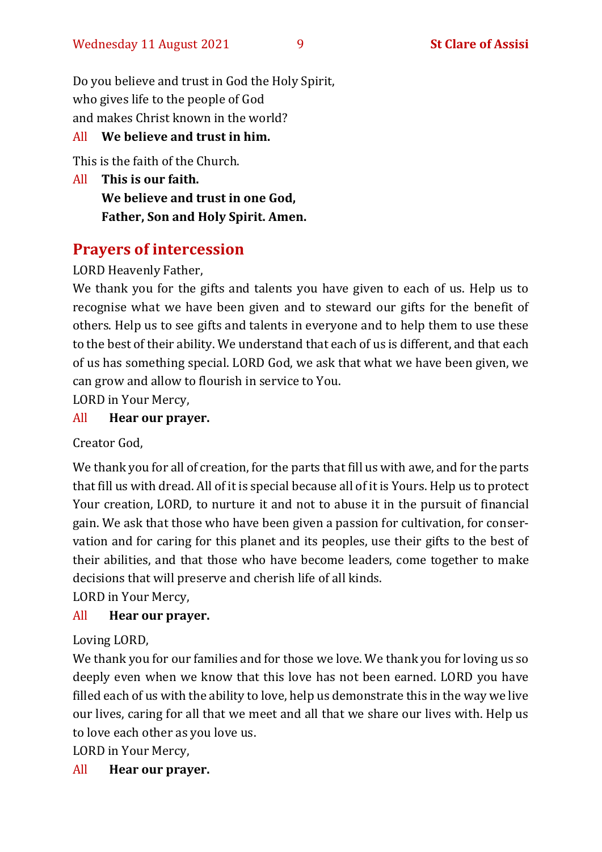Do you believe and trust in God the Holy Spirit, who gives life to the people of God and makes Christ known in the world?

#### All **We believe and trust in him.**

This is the faith of the Church.

All **This is our faith. We believe and trust in one God, Father, Son and Holy Spirit. Amen.**

# **Prayers of intercession**

LORD Heavenly Father,

We thank you for the gifts and talents you have given to each of us. Help us to recognise what we have been given and to steward our gifts for the benefit of others. Help us to see gifts and talents in everyone and to help them to use these to the best of their ability. We understand that each of us is different, and that each of us has something special. LORD God, we ask that what we have been given, we can grow and allow to flourish in service to You.

LORD in Your Mercy,

#### All **Hear our prayer.**

Creator God,

We thank you for all of creation, for the parts that fill us with awe, and for the parts that fill us with dread. All of it is special because all of it is Yours. Help us to protect Your creation, LORD, to nurture it and not to abuse it in the pursuit of financial gain. We ask that those who have been given a passion for cultivation, for conservation and for caring for this planet and its peoples, use their gifts to the best of their abilities, and that those who have become leaders, come together to make decisions that will preserve and cherish life of all kinds.

LORD in Your Mercy,

#### All **Hear our prayer.**

Loving LORD,

We thank you for our families and for those we love. We thank you for loving us so deeply even when we know that this love has not been earned. LORD you have filled each of us with the ability to love, help us demonstrate this in the way we live our lives, caring for all that we meet and all that we share our lives with. Help us to love each other as you love us.

LORD in Your Mercy,

All **Hear our prayer.**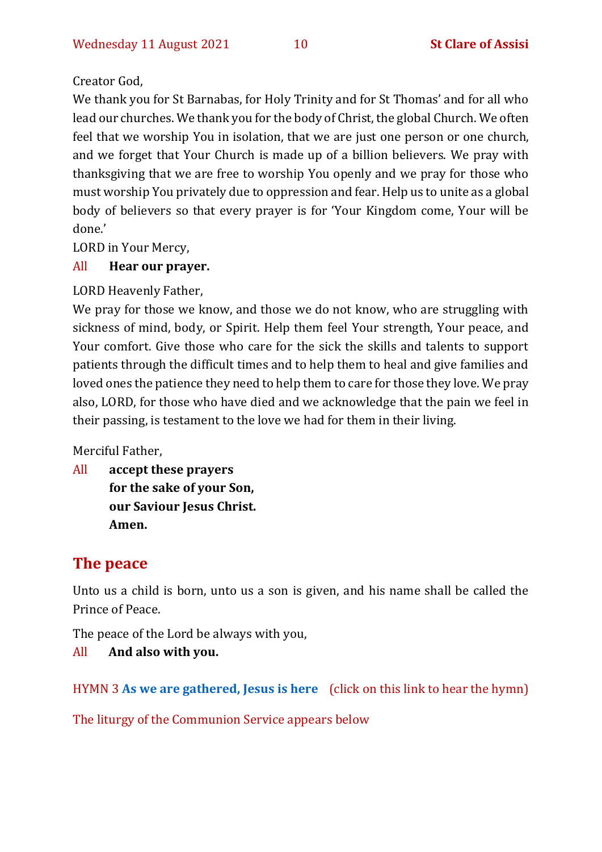#### Creator God,

We thank you for St Barnabas, for Holy Trinity and for St Thomas' and for all who lead our churches. We thank you for the body of Christ, the global Church. We often feel that we worship You in isolation, that we are just one person or one church, and we forget that Your Church is made up of a billion believers. We pray with thanksgiving that we are free to worship You openly and we pray for those who must worship You privately due to oppression and fear. Help us to unite as a global body of believers so that every prayer is for 'Your Kingdom come, Your will be done.'

LORD in Your Mercy,

#### All **Hear our prayer.**

LORD Heavenly Father,

We pray for those we know, and those we do not know, who are struggling with sickness of mind, body, or Spirit. Help them feel Your strength, Your peace, and Your comfort. Give those who care for the sick the skills and talents to support patients through the difficult times and to help them to heal and give families and loved ones the patience they need to help them to care for those they love. We pray also, LORD, for those who have died and we acknowledge that the pain we feel in their passing, is testament to the love we had for them in their living.

Merciful Father,

All **accept these prayers for the sake of your Son, our Saviour Jesus Christ. Amen.**

# **The peace**

Unto us a child is born, unto us a son is given, and his name shall be called the Prince of Peace.

The peace of the Lord be always with you,

#### All **And also with you.**

HYMN 3 **[As we are gathered, Jesus is here](https://www.youtube.com/watch?v=zj0Eg9X0FT8)** (click on this link to hear the hymn)

The liturgy of the Communion Service appears below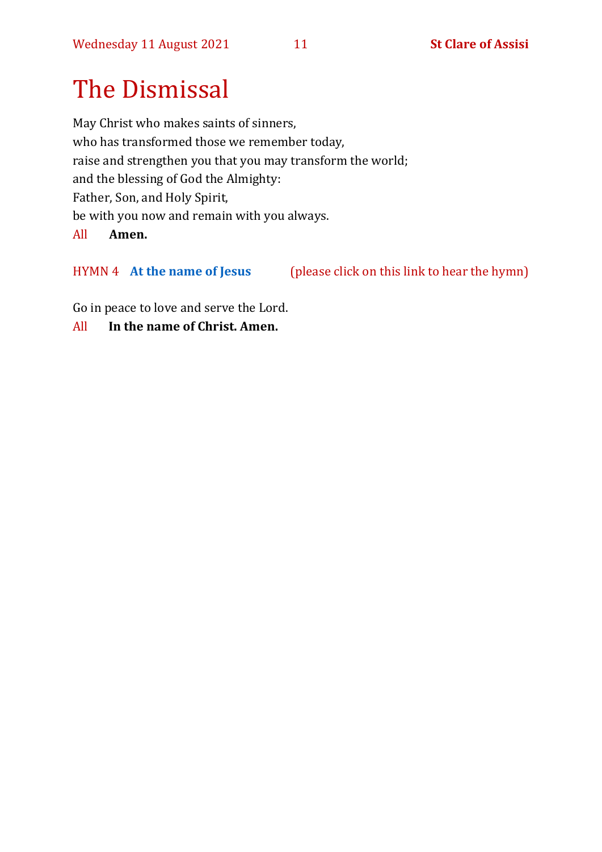# The Dismissal

May Christ who makes saints of sinners, who has transformed those we remember today, raise and strengthen you that you may transform the world; and the blessing of God the Almighty: Father, Son, and Holy Spirit, be with you now and remain with you always.

All **Amen.**

HYMN 4 **[At the name of Jesus](https://www.youtube.com/watch?v=Mz6xfmRC8KA)** (please click on this link to hear the hymn)

Go in peace to love and serve the Lord.

All **In the name of Christ. Amen.**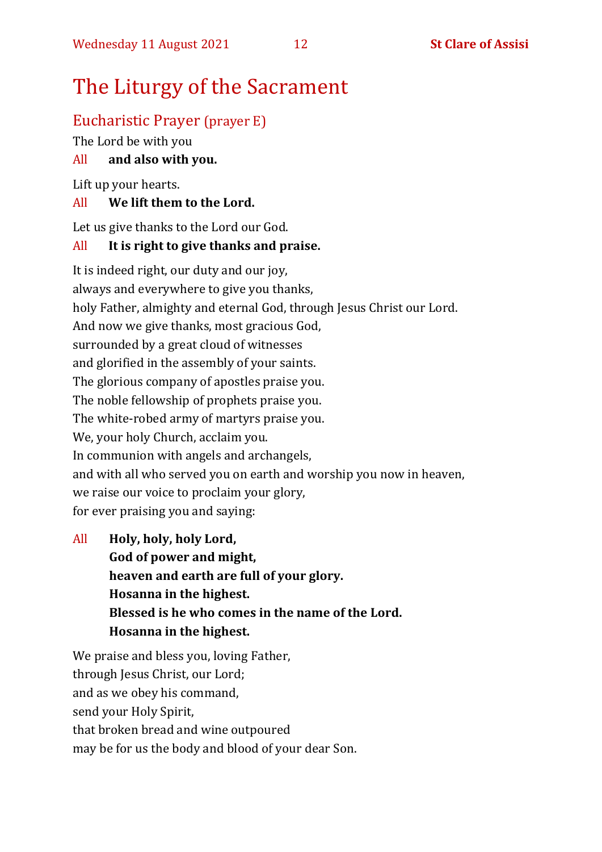# The Liturgy of the Sacrament

### Eucharistic Prayer (prayer E)

The Lord be with you

#### All **and also with you.**

Lift up your hearts.

#### All **We lift them to the Lord.**

Let us give thanks to the Lord our God.

#### All **It is right to give thanks and praise.**

It is indeed right, our duty and our joy, always and everywhere to give you thanks, holy Father, almighty and eternal God, through Jesus Christ our Lord. And now we give thanks, most gracious God, surrounded by a great cloud of witnesses and glorified in the assembly of your saints. The glorious company of apostles praise you. The noble fellowship of prophets praise you. The white-robed army of martyrs praise you. We, your holy Church, acclaim you. In communion with angels and archangels, and with all who served you on earth and worship you now in heaven, we raise our voice to proclaim your glory, for ever praising you and saying:

All **Holy, holy, holy Lord, God of power and might, heaven and earth are full of your glory. Hosanna in the highest. Blessed is he who comes in the name of the Lord. Hosanna in the highest.**

We praise and bless you, loving Father, through Jesus Christ, our Lord; and as we obey his command, send your Holy Spirit, that broken bread and wine outpoured may be for us the body and blood of your dear Son.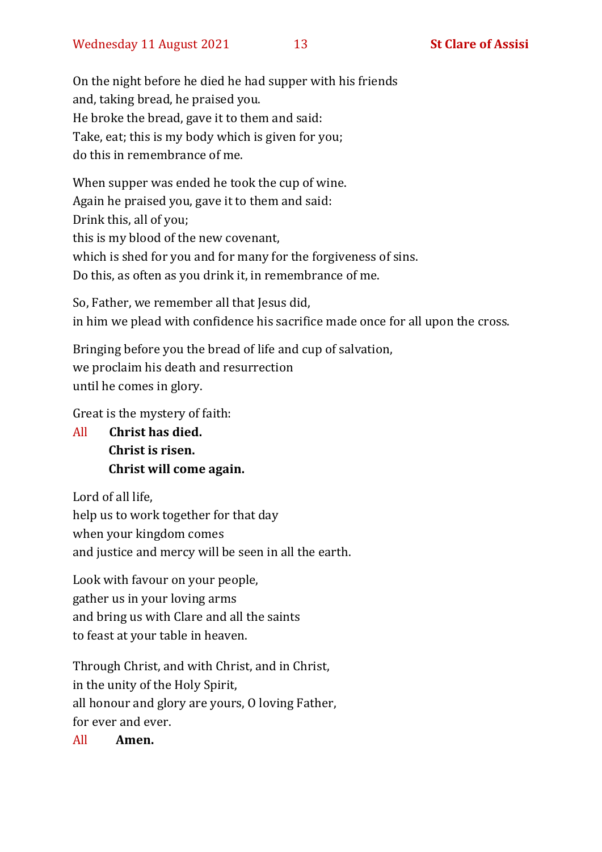On the night before he died he had supper with his friends and, taking bread, he praised you. He broke the bread, gave it to them and said: Take, eat; this is my body which is given for you; do this in remembrance of me.

When supper was ended he took the cup of wine. Again he praised you, gave it to them and said: Drink this, all of you; this is my blood of the new covenant, which is shed for you and for many for the forgiveness of sins. Do this, as often as you drink it, in remembrance of me.

So, Father, we remember all that Jesus did, in him we plead with confidence his sacrifice made once for all upon the cross.

Bringing before you the bread of life and cup of salvation, we proclaim his death and resurrection until he comes in glory.

Great is the mystery of faith:

All **Christ has died. Christ is risen. Christ will come again.**

Lord of all life, help us to work together for that day when your kingdom comes and justice and mercy will be seen in all the earth.

Look with favour on your people, gather us in your loving arms and bring us with Clare and all the saints to feast at your table in heaven.

Through Christ, and with Christ, and in Christ, in the unity of the Holy Spirit, all honour and glory are yours, O loving Father, for ever and ever.

All **Amen.**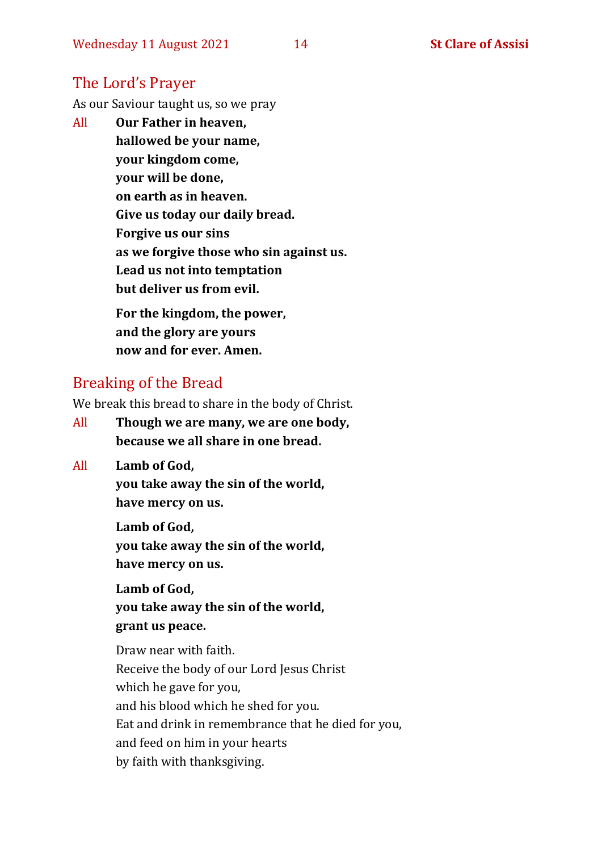#### The Lord's Prayer

As our Saviour taught us, so we pray

All **Our Father in heaven, hallowed be your name, your kingdom come, your will be done, on earth as in heaven. Give us today our daily bread. Forgive us our sins as we forgive those who sin against us. Lead us not into temptation but deliver us from evil. For the kingdom, the power,** 

**and the glory are yours now and for ever. Amen.**

#### Breaking of the Bread

We break this bread to share in the body of Christ.

- All **Though we are many, we are one body, because we all share in one bread.**
- All **Lamb of God,**

**you take away the sin of the world, have mercy on us.**

**Lamb of God, you take away the sin of the world, have mercy on us.**

**Lamb of God, you take away the sin of the world, grant us peace.**

Draw near with faith. Receive the body of our Lord Jesus Christ which he gave for you, and his blood which he shed for you. Eat and drink in remembrance that he died for you, and feed on him in your hearts by faith with thanksgiving.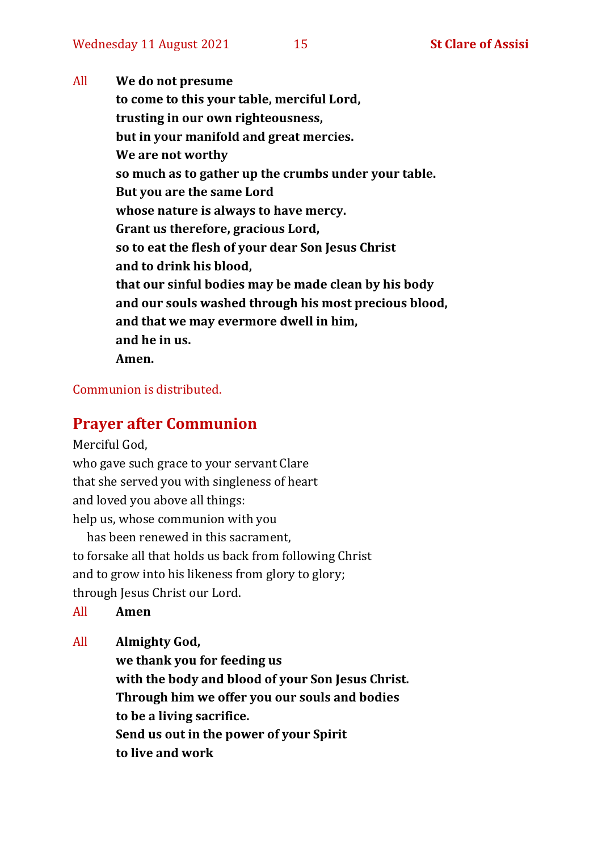All **We do not presume to come to this your table, merciful Lord, trusting in our own righteousness, but in your manifold and great mercies. We are not worthy so much as to gather up the crumbs under your table. But you are the same Lord whose nature is always to have mercy. Grant us therefore, gracious Lord, so to eat the flesh of your dear Son Jesus Christ and to drink his blood, that our sinful bodies may be made clean by his body and our souls washed through his most precious blood, and that we may evermore dwell in him, and he in us. Amen.**

#### Communion is distributed.

#### **Prayer after Communion**

Merciful God,

who gave such grace to your servant Clare that she served you with singleness of heart and loved you above all things: help us, whose communion with you

has been renewed in this sacrament, to forsake all that holds us back from following Christ and to grow into his likeness from glory to glory; through Jesus Christ our Lord.

All **Amen**

All **Almighty God,**

**we thank you for feeding us with the body and blood of your Son Jesus Christ. Through him we offer you our souls and bodies to be a living sacrifice. Send us out in the power of your Spirit to live and work**